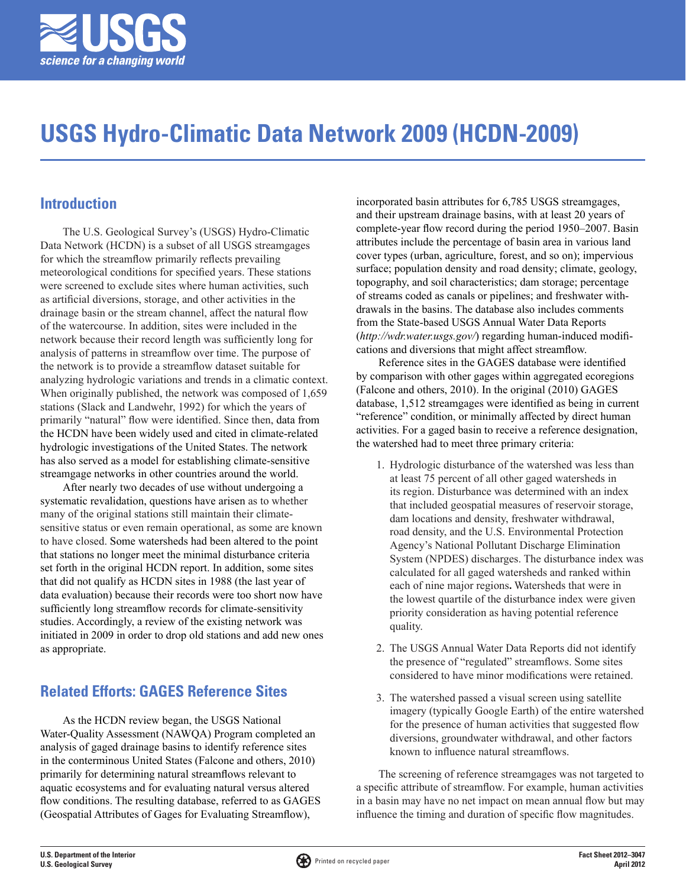

# **USGS Hydro-Climatic Data Network 2009 (HCDN-2009)**

## **Introduction**

The U.S. Geological Survey's (USGS) Hydro-Climatic Data Network (HCDN) is a subset of all USGS streamgages for which the streamflow primarily reflects prevailing meteorological conditions for specified years. These stations were screened to exclude sites where human activities, such as artificial diversions, storage, and other activities in the drainage basin or the stream channel, affect the natural flow of the watercourse. In addition, sites were included in the network because their record length was sufficiently long for analysis of patterns in streamflow over time. The purpose of the network is to provide a streamflow dataset suitable for analyzing hydrologic variations and trends in a climatic context. When originally published, the network was composed of 1,659 stations (Slack and Landwehr, 1992) for which the years of primarily "natural" flow were identified. Since then, data from the HCDN have been widely used and cited in climate-related hydrologic investigations of the United States. The network has also served as a model for establishing climate-sensitive streamgage networks in other countries around the world.

After nearly two decades of use without undergoing a systematic revalidation, questions have arisen as to whether many of the original stations still maintain their climatesensitive status or even remain operational, as some are known to have closed. Some watersheds had been altered to the point that stations no longer meet the minimal disturbance criteria set forth in the original HCDN report. In addition, some sites that did not qualify as HCDN sites in 1988 (the last year of data evaluation) because their records were too short now have sufficiently long streamflow records for climate-sensitivity studies. Accordingly, a review of the existing network was initiated in 2009 in order to drop old stations and add new ones as appropriate.

## **Related Efforts: GAGES Reference Sites**

As the HCDN review began, the USGS National Water-Quality Assessment (NAWQA) Program completed an analysis of gaged drainage basins to identify reference sites in the conterminous United States (Falcone and others, 2010) primarily for determining natural streamflows relevant to aquatic ecosystems and for evaluating natural versus altered flow conditions. The resulting database, referred to as GAGES (Geospatial Attributes of Gages for Evaluating Streamflow),

incorporated basin attributes for 6,785 USGS streamgages, and their upstream drainage basins, with at least 20 years of complete-year flow record during the period 1950–2007. Basin attributes include the percentage of basin area in various land cover types (urban, agriculture, forest, and so on); impervious surface; population density and road density; climate, geology, topography, and soil characteristics; dam storage; percentage of streams coded as canals or pipelines; and freshwater withdrawals in the basins. The database also includes comments from the State-based USGS Annual Water Data Reports (*http://wdr.water.usgs.gov/*) regarding human-induced modifications and diversions that might affect streamflow.

Reference sites in the GAGES database were identified by comparison with other gages within aggregated ecoregions (Falcone and others, 2010). In the original (2010) GAGES database, 1,512 streamgages were identified as being in current "reference" condition, or minimally affected by direct human activities. For a gaged basin to receive a reference designation, the watershed had to meet three primary criteria:

- 1. Hydrologic disturbance of the watershed was less than at least 75 percent of all other gaged watersheds in its region. Disturbance was determined with an index that included geospatial measures of reservoir storage, dam locations and density, freshwater withdrawal, road density, and the U.S. Environmental Protection Agency's National Pollutant Discharge Elimination System (NPDES) discharges. The disturbance index was calculated for all gaged watersheds and ranked within each of nine major regions**.** Watersheds that were in the lowest quartile of the disturbance index were given priority consideration as having potential reference quality.
- 2. The USGS Annual Water Data Reports did not identify the presence of "regulated" streamflows. Some sites considered to have minor modifications were retained.
- 3. The watershed passed a visual screen using satellite imagery (typically Google Earth) of the entire watershed for the presence of human activities that suggested flow diversions, groundwater withdrawal, and other factors known to influence natural streamflows.

The screening of reference streamgages was not targeted to a specific attribute of streamflow. For example, human activities in a basin may have no net impact on mean annual flow but may influence the timing and duration of specific flow magnitudes.

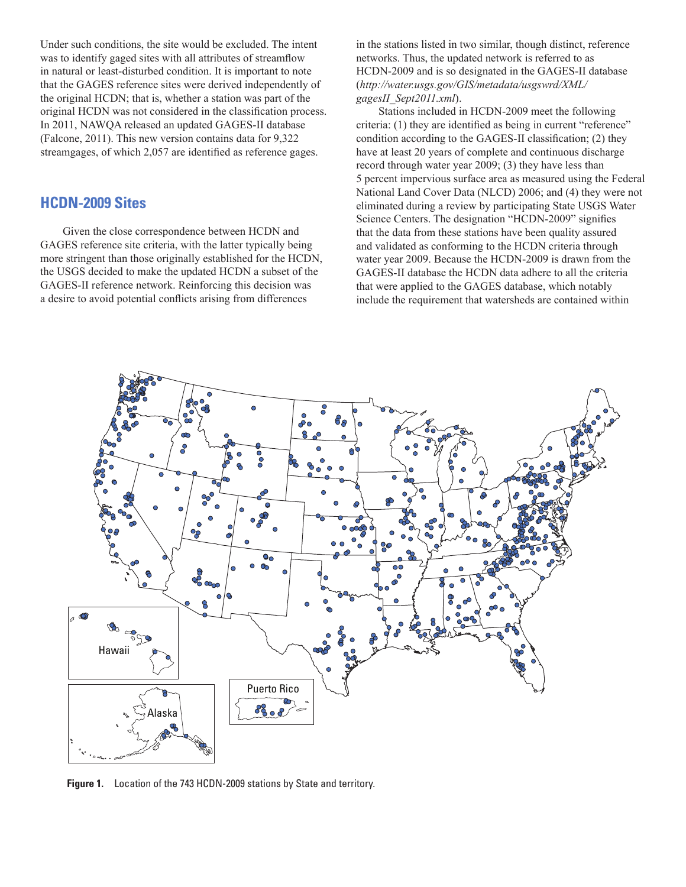Under such conditions, the site would be excluded. The intent was to identify gaged sites with all attributes of streamflow in natural or least-disturbed condition. It is important to note that the GAGES reference sites were derived independently of the original HCDN; that is, whether a station was part of the original HCDN was not considered in the classification process. In 2011, NAWQA released an updated GAGES-II database (Falcone, 2011). This new version contains data for 9,322 streamgages, of which 2,057 are identified as reference gages.

### **HCDN-2009 Sites**

Given the close correspondence between HCDN and GAGES reference site criteria, with the latter typically being more stringent than those originally established for the HCDN, the USGS decided to make the updated HCDN a subset of the GAGES-II reference network. Reinforcing this decision was a desire to avoid potential conflicts arising from differences

in the stations listed in two similar, though distinct, reference networks. Thus, the updated network is referred to as HCDN-2009 and is so designated in the GAGES-II database (*http://water.usgs.gov/GIS/metadata/usgswrd/XML/ gagesII\_Sept2011.xml*).

Stations included in HCDN-2009 meet the following criteria: (1) they are identified as being in current "reference" condition according to the GAGES-II classification; (2) they have at least 20 years of complete and continuous discharge record through water year 2009; (3) they have less than 5 percent impervious surface area as measured using the Federal National Land Cover Data (NLCD) 2006; and (4) they were not eliminated during a review by participating State USGS Water Science Centers. The designation "HCDN-2009" signifies that the data from these stations have been quality assured and validated as conforming to the HCDN criteria through water year 2009. Because the HCDN-2009 is drawn from the GAGES-II database the HCDN data adhere to all the criteria that were applied to the GAGES database, which notably include the requirement that watersheds are contained within



**Figure 1.** Location of the 743 HCDN-2009 stations by State and territory.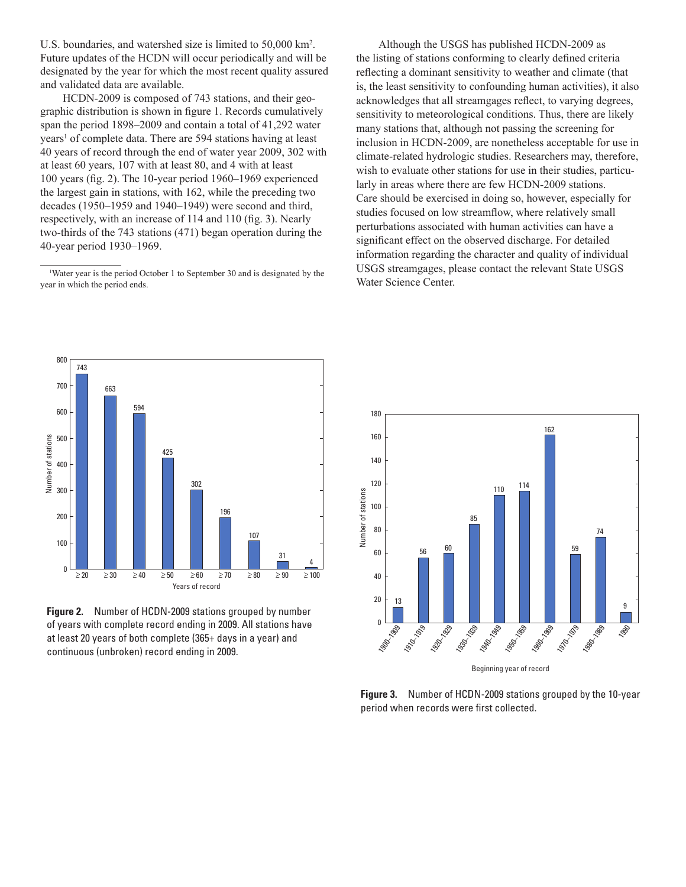U.S. boundaries, and watershed size is limited to 50,000 km2 . Future updates of the HCDN will occur periodically and will be designated by the year for which the most recent quality assured and validated data are available.

HCDN-2009 is composed of 743 stations, and their geographic distribution is shown in figure 1. Records cumulatively span the period 1898–2009 and contain a total of 41,292 water years<sup>1</sup> of complete data. There are 594 stations having at least 40 years of record through the end of water year 2009, 302 with at least 60 years, 107 with at least 80, and 4 with at least 100 years (fig. 2). The 10-year period 1960–1969 experienced the largest gain in stations, with 162, while the preceding two decades (1950–1959 and 1940–1949) were second and third, respectively, with an increase of 114 and 110 (fig. 3). Nearly two-thirds of the 743 stations (471) began operation during the 40-year period 1930–1969.

Although the USGS has published HCDN-2009 as the listing of stations conforming to clearly defined criteria reflecting a dominant sensitivity to weather and climate (that is, the least sensitivity to confounding human activities), it also acknowledges that all streamgages reflect, to varying degrees, sensitivity to meteorological conditions. Thus, there are likely many stations that, although not passing the screening for inclusion in HCDN-2009, are nonetheless acceptable for use in climate-related hydrologic studies. Researchers may, therefore, wish to evaluate other stations for use in their studies, particularly in areas where there are few HCDN-2009 stations. Care should be exercised in doing so, however, especially for studies focused on low streamflow, where relatively small perturbations associated with human activities can have a significant effect on the observed discharge. For detailed information regarding the character and quality of individual USGS streamgages, please contact the relevant State USGS Water Science Center.



**Figure 2.** Number of HCDN-2009 stations grouped by number of years with complete record ending in 2009. All stations have at least 20 years of both complete (365+ days in a year) and continuous (unbroken) record ending in 2009.



Beginning year of record

**Figure 3.** Number of HCDN-2009 stations grouped by the 10-year period when records were first collected.

<sup>1</sup> Water year is the period October 1 to September 30 and is designated by the year in which the period ends.